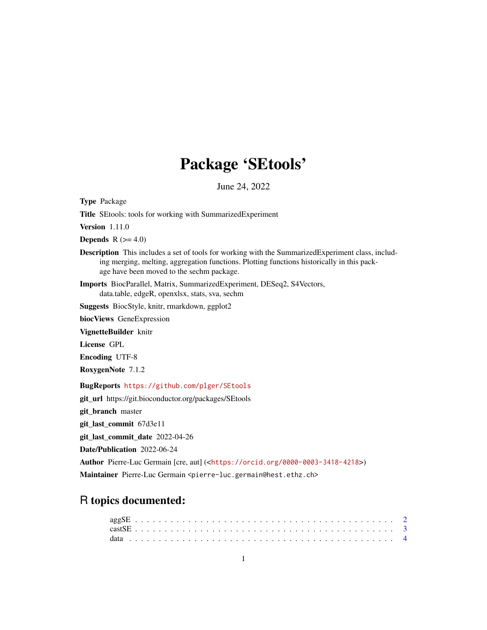## Package 'SEtools'

June 24, 2022

<span id="page-0-0"></span>Type Package Title SEtools: tools for working with SummarizedExperiment Version 1.11.0 **Depends**  $R$  ( $>= 4.0$ ) Description This includes a set of tools for working with the SummarizedExperiment class, including merging, melting, aggregation functions. Plotting functions historically in this package have been moved to the sechm package. Imports BiocParallel, Matrix, SummarizedExperiment, DESeq2, S4Vectors, data.table, edgeR, openxlsx, stats, sva, sechm Suggests BiocStyle, knitr, rmarkdown, ggplot2 biocViews GeneExpression VignetteBuilder knitr License GPL Encoding UTF-8 RoxygenNote 7.1.2 BugReports <https://github.com/plger/SEtools> git\_url https://git.bioconductor.org/packages/SEtools git\_branch master git\_last\_commit 67d3e11 git\_last\_commit\_date 2022-04-26 Date/Publication 2022-06-24 Author Pierre-Luc Germain [cre, aut] (<<https://orcid.org/0000-0003-3418-4218>>) Maintainer Pierre-Luc Germain <pierre-luc.germain@hest.ethz.ch>

### R topics documented: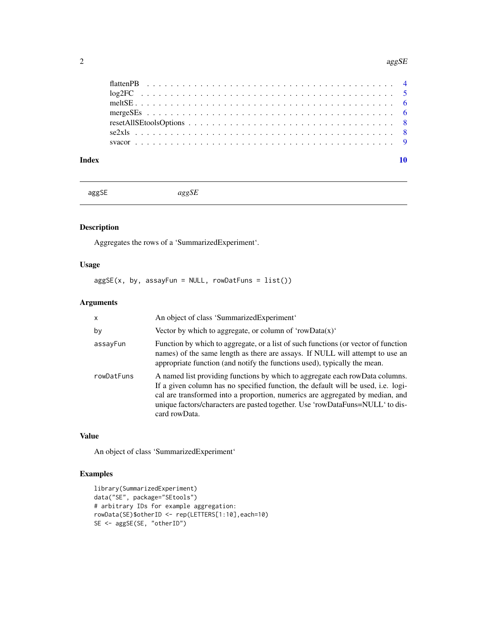#### <span id="page-1-0"></span>2 agg SE and  $\log$ SE agg SE and  $\log$ SE agg SE agg SE agg SE agg SE agg SE agg SE agg SE agg SE agg SE ag SE ag SE ag SE ag SE ag SE ag SE ag SE ag SE ag SE ag SE ag SE ag SE ag SE ag SE ag SE ag SE ag SE ag SE ag SE ag SE

#### $\blacksquare$

<span id="page-1-1"></span>aggSE *aggSE*

#### Description

Aggregates the rows of a 'SummarizedExperiment'.

#### Usage

 $aggSE(x, by, assayFun = NULL, rowDatFuns = list())$ 

#### Arguments

| $\times$   | An object of class 'SummarizedExperiment'                                                                                                                                                                                                                                                                                                            |
|------------|------------------------------------------------------------------------------------------------------------------------------------------------------------------------------------------------------------------------------------------------------------------------------------------------------------------------------------------------------|
| by         | Vector by which to aggregate, or column of 'rowData $(x)$ '                                                                                                                                                                                                                                                                                          |
| assayFun   | Function by which to aggregate, or a list of such functions (or vector of function<br>names) of the same length as there are assays. If NULL will attempt to use an<br>appropriate function (and notify the functions used), typically the mean.                                                                                                     |
| rowDatFuns | A named list providing functions by which to aggregate each rowData columns.<br>If a given column has no specified function, the default will be used, i.e. logi-<br>cal are transformed into a proportion, numerics are aggregated by median, and<br>unique factors/characters are pasted together. Use 'rowDataFuns=NULL' to dis-<br>card rowData. |

#### Value

An object of class 'SummarizedExperiment'

```
library(SummarizedExperiment)
data("SE", package="SEtools")
# arbitrary IDs for example aggregation:
rowData(SE)$otherID <- rep(LETTERS[1:10],each=10)
SE <- aggSE(SE, "otherID")
```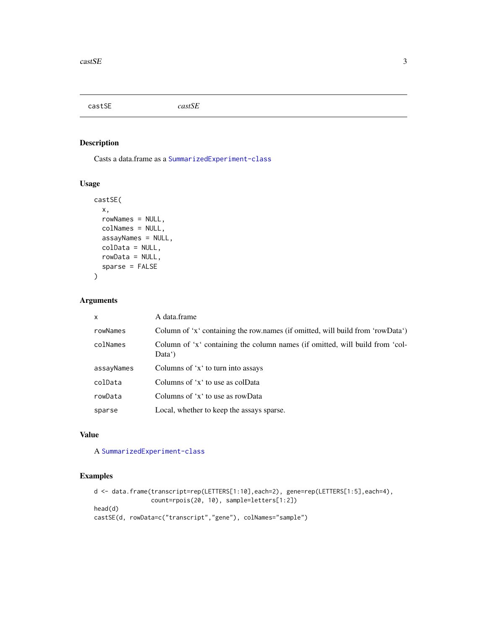<span id="page-2-0"></span>castSE *castSE*

#### Description

Casts a data.frame as a [SummarizedExperiment-class](#page-0-0)

#### Usage

```
castSE(
  x,
  rowNames = NULL,
  colNames = NULL,
  assayNames = NULL,
  colData = NULL,
  rowData = NULL,
  sparse = FALSE
)
```
#### Arguments

| $\mathsf{x}$ | A data.frame                                                                                        |
|--------------|-----------------------------------------------------------------------------------------------------|
| rowNames     | Column of 'x' containing the row.names (if omitted, will build from 'rowData')                      |
| colNames     | Column of 'x' containing the column names (if omitted, will build from 'col-<br>Data <sup>'</sup> ) |
| assayNames   | Columns of 'x' to turn into assays                                                                  |
| colData      | Columns of 'x' to use as colData                                                                    |
| rowData      | Columns of 'x' to use as rowData                                                                    |
| sparse       | Local, whether to keep the assays sparse.                                                           |

#### Value

A [SummarizedExperiment-class](#page-0-0)

```
d <- data.frame(transcript=rep(LETTERS[1:10],each=2), gene=rep(LETTERS[1:5],each=4),
               count=rpois(20, 10), sample=letters[1:2])
head(d)
castSE(d, rowData=c("transcript","gene"), colNames="sample")
```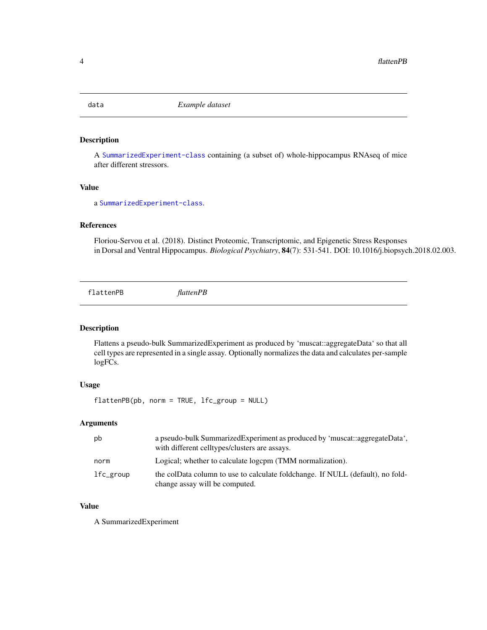<span id="page-3-0"></span>

#### Description

A [SummarizedExperiment-class](#page-0-0) containing (a subset of) whole-hippocampus RNAseq of mice after different stressors.

#### Value

a [SummarizedExperiment-class](#page-0-0).

#### References

Floriou-Servou et al. (2018). Distinct Proteomic, Transcriptomic, and Epigenetic Stress Responses in Dorsal and Ventral Hippocampus. *Biological Psychiatry*, 84(7): 531-541. DOI: 10.1016/j.biopsych.2018.02.003.

flattenPB *flattenPB*

#### Description

Flattens a pseudo-bulk SummarizedExperiment as produced by 'muscat::aggregateData' so that all cell types are represented in a single assay. Optionally normalizes the data and calculates per-sample logFCs.

#### Usage

flattenPB(pb, norm = TRUE, lfc\_group = NULL)

#### Arguments

| pb        | a pseudo-bulk Summarized Experiment as produced by 'muscat: aggregate Data',<br>with different celltypes/clusters are assays. |
|-----------|-------------------------------------------------------------------------------------------------------------------------------|
| norm      | Logical; whether to calculate logcpm (TMM normalization).                                                                     |
| lfc_group | the colData column to use to calculate foldchange. If NULL (default), no fold-<br>change assay will be computed.              |

#### Value

A SummarizedExperiment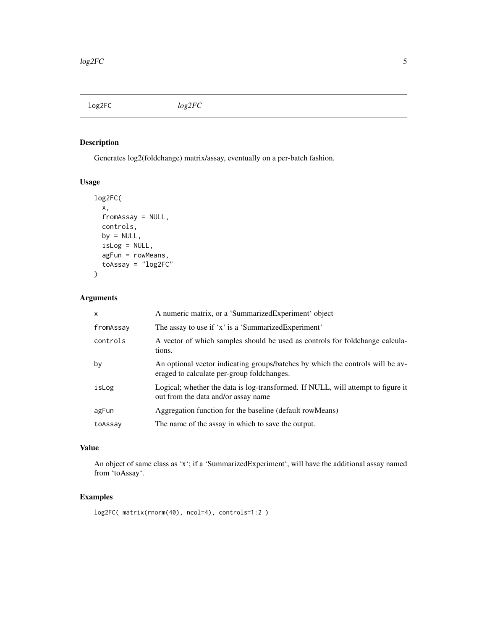<span id="page-4-0"></span>log2FC *log2FC*

#### Description

Generates log2(foldchange) matrix/assay, eventually on a per-batch fashion.

#### Usage

```
log2FC(
 x,
 fromAssay = NULL,
 controls,
 by = NULL,
  isLog = NULL,
  agFun = rowMeans,
  toAssay = "log2FC"
)
```
#### Arguments

| $\mathsf{x}$ | A numeric matrix, or a 'SummarizedExperiment' object                                                                         |
|--------------|------------------------------------------------------------------------------------------------------------------------------|
| fromAssay    | The assay to use if 'x' is a 'SummarizedExperiment'                                                                          |
| controls     | A vector of which samples should be used as controls for foldchange calcula-<br>tions.                                       |
| by           | An optional vector indicating groups/batches by which the controls will be av-<br>eraged to calculate per-group foldchanges. |
| isLog        | Logical; whether the data is log-transformed. If NULL, will attempt to figure it<br>out from the data and/or assay name      |
| agFun        | Aggregation function for the baseline (default row Means)                                                                    |
| toAssay      | The name of the assay in which to save the output.                                                                           |

#### Value

An object of same class as 'x'; if a 'SummarizedExperiment', will have the additional assay named from 'toAssay'.

```
log2FC( matrix(rnorm(40), ncol=4), controls=1:2 )
```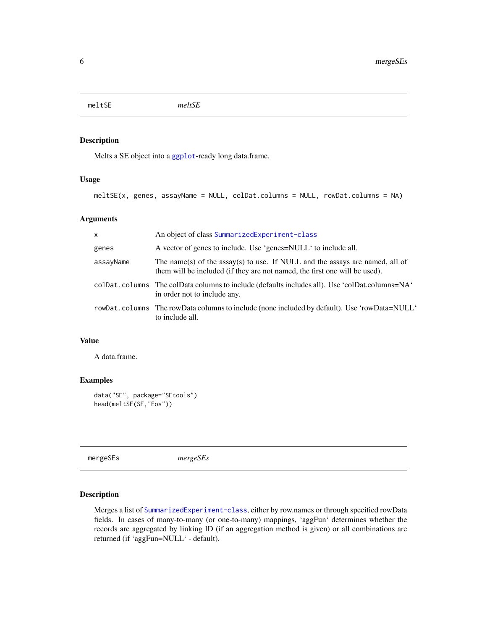<span id="page-5-0"></span>meltSE *meltSE*

#### Description

Melts a SE object into a [ggplot](#page-0-0)-ready long data.frame.

#### Usage

```
meltSE(x, genes, assayName = NULL, colDat.columns = NULL, rowDat.columns = NA)
```
#### Arguments

| $\mathsf{x}$ | An object of class SummarizedExperiment-class                                                                                                              |
|--------------|------------------------------------------------------------------------------------------------------------------------------------------------------------|
| genes        | A vector of genes to include. Use 'genes=NULL' to include all.                                                                                             |
| assayName    | The name(s) of the assay(s) to use. If NULL and the assays are named, all of<br>them will be included (if they are not named, the first one will be used). |
|              | coldraphoral columns The coldraphoral columns to include (defaults includes all). Use 'coldraphoral Columns=NA'<br>in order not to include any.            |
|              | rowDat.columns The rowData columns to include (none included by default). Use 'rowData=NULL'<br>to include all.                                            |

#### Value

A data.frame.

#### Examples

```
data("SE", package="SEtools")
head(meltSE(SE,"Fos"))
```
mergeSEs *mergeSEs*

#### Description

Merges a list of [SummarizedExperiment-class](#page-0-0), either by row.names or through specified rowData fields. In cases of many-to-many (or one-to-many) mappings, 'aggFun' determines whether the records are aggregated by linking ID (if an aggregation method is given) or all combinations are returned (if 'aggFun=NULL' - default).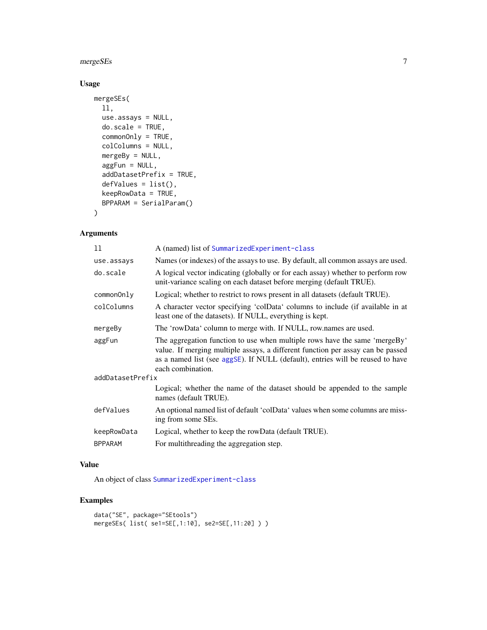#### <span id="page-6-0"></span> $m$ erge $SE$ s 7

#### Usage

```
mergeSEs(
 ll,
 use.assays = NULL,
 do.scale = TRUE,
 commonOnly = TRUE,
  colColumns = NULL,
 mergeBy = NULL,
  aggFun = NULL,
  addDatasetPrefix = TRUE,
  defValues = list(),
 keepRowData = TRUE,
 BPPARAM = SerialParam()
\mathcal{L}
```
#### Arguments

| 11               | A (named) list of SummarizedExperiment-class                                                                                                                                                                                                                         |
|------------------|----------------------------------------------------------------------------------------------------------------------------------------------------------------------------------------------------------------------------------------------------------------------|
| use.assays       | Names (or indexes) of the assays to use. By default, all common assays are used.                                                                                                                                                                                     |
| do.scale         | A logical vector indicating (globally or for each assay) whether to perform row<br>unit-variance scaling on each dataset before merging (default TRUE).                                                                                                              |
| commonOnly       | Logical; whether to restrict to rows present in all datasets (default TRUE).                                                                                                                                                                                         |
| colColumns       | A character vector specifying 'colData' columns to include (if available in at<br>least one of the datasets). If NULL, everything is kept.                                                                                                                           |
| mergeBy          | The 'rowData' column to merge with. If NULL, row names are used.                                                                                                                                                                                                     |
| aggFun           | The aggregation function to use when multiple rows have the same 'mergeBy'<br>value. If merging multiple assays, a different function per assay can be passed<br>as a named list (see aggSE). If NULL (default), entries will be reused to have<br>each combination. |
| addDatasetPrefix |                                                                                                                                                                                                                                                                      |
|                  | Logical; whether the name of the dataset should be appended to the sample<br>names (default TRUE).                                                                                                                                                                   |
| defValues        | An optional named list of default 'colData' values when some columns are miss-<br>ing from some SEs.                                                                                                                                                                 |
| keepRowData      | Logical, whether to keep the rowData (default TRUE).                                                                                                                                                                                                                 |
| <b>BPPARAM</b>   | For multithreading the aggregation step.                                                                                                                                                                                                                             |

#### Value

An object of class [SummarizedExperiment-class](#page-0-0)

```
data("SE", package="SEtools")
mergeSEs( list( se1=SE[,1:10], se2=SE[,11:20] ) )
```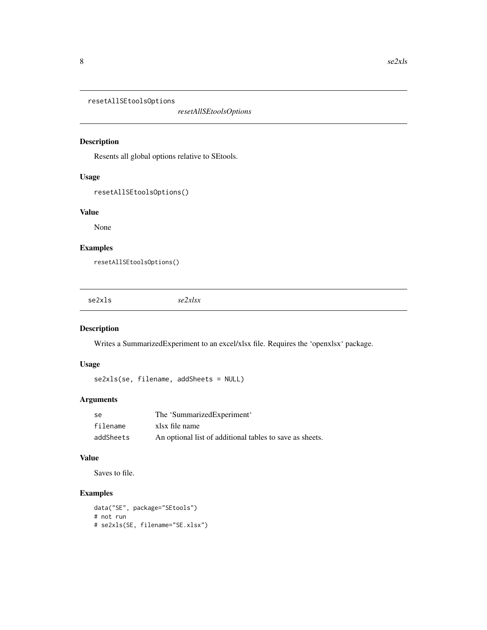<span id="page-7-0"></span>resetAllSEtoolsOptions

*resetAllSEtoolsOptions*

#### Description

Resents all global options relative to SEtools.

#### Usage

```
resetAllSEtoolsOptions()
```
#### Value

None

#### Examples

resetAllSEtoolsOptions()

se2xls *se2xlsx*

#### Description

Writes a SummarizedExperiment to an excel/xlsx file. Requires the 'openxlsx' package.

#### Usage

se2xls(se, filename, addSheets = NULL)

#### Arguments

| -se       | The 'SummarizedExperiment'                               |
|-----------|----------------------------------------------------------|
| filename  | xlsx file name                                           |
| addSheets | An optional list of additional tables to save as sheets. |

#### Value

Saves to file.

```
data("SE", package="SEtools")
# not run
# se2xls(SE, filename="SE.xlsx")
```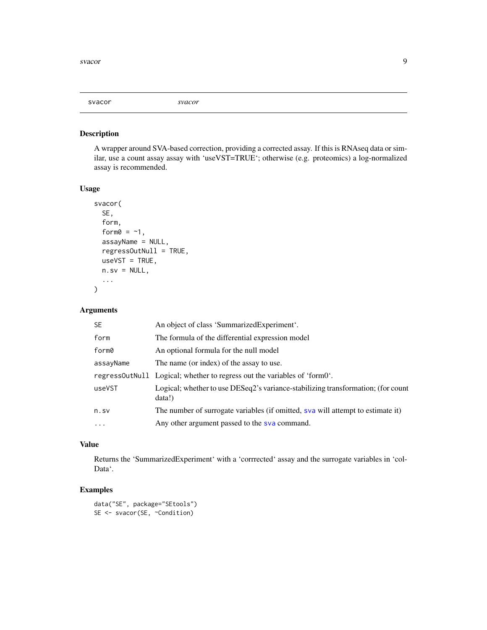<span id="page-8-0"></span>svacor *svacor*

#### Description

A wrapper around SVA-based correction, providing a corrected assay. If this is RNAseq data or similar, use a count assay assay with 'useVST=TRUE'; otherwise (e.g. proteomics) a log-normalized assay is recommended.

#### Usage

```
svacor(
  SE,
  form,
  form0 = -1,
  assayName = NULL,
  regressOutNull = TRUE,
  useVST = TRUE,n.sv = NULL,...
\overline{\phantom{a}}
```
#### Arguments

| <b>SE</b> | An object of class 'SummarizedExperiment'.                                                 |
|-----------|--------------------------------------------------------------------------------------------|
| form      | The formula of the differential expression model                                           |
| form0     | An optional formula for the null model                                                     |
| assayName | The name (or index) of the assay to use.                                                   |
|           | regress Out Null Logical; whether to regress out the variables of 'form0'.                 |
| useVST    | Logical; whether to use DESeq2's variance-stabilizing transformation; (for count<br>data!) |
| n.sv      | The number of surrogate variables (if omitted, sva will attempt to estimate it)            |
| $\cdots$  | Any other argument passed to the sva command.                                              |

#### Value

Returns the 'SummarizedExperiment' with a 'corrrected' assay and the surrogate variables in 'col-Data'.

```
data("SE", package="SEtools")
SE <- svacor(SE, ~Condition)
```